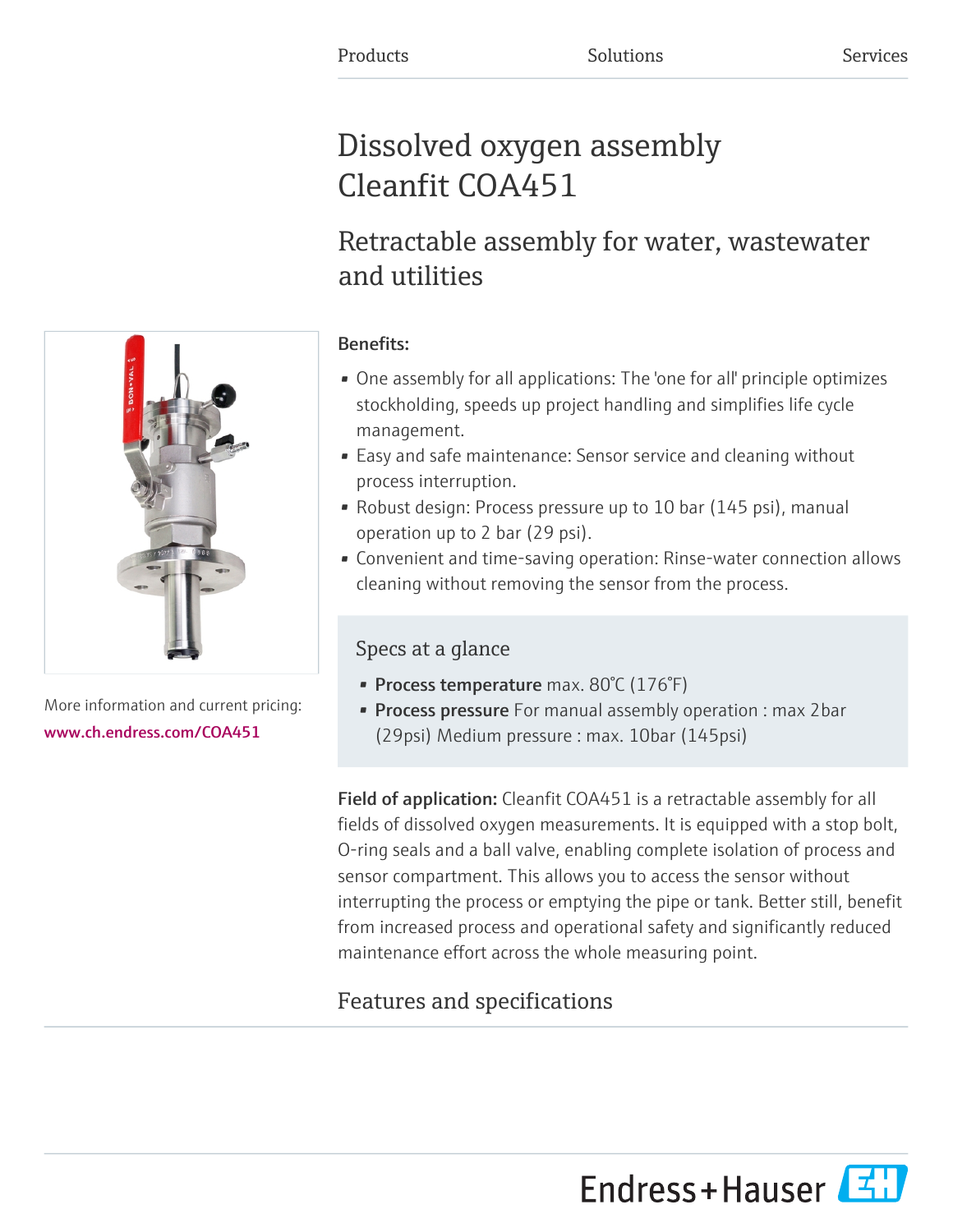# Dissolved oxygen assembly Cleanfit COA451

# Retractable assembly for water, wastewater and utilities

## Benefits:

- One assembly for all applications: The 'one for all' principle optimizes stockholding, speeds up project handling and simplifies life cycle management.
- Easy and safe maintenance: Sensor service and cleaning without process interruption.
- Robust design: Process pressure up to 10 bar (145 psi), manual operation up to 2 bar (29 psi).
- Convenient and time-saving operation: Rinse-water connection allows cleaning without removing the sensor from the process.

## Specs at a glance

- Process temperature max. 80°C (176°F)
- **Process pressure** For manual assembly operation : max 2bar (29psi) Medium pressure : max. 10bar (145psi)

Field of application: Cleanfit COA451 is a retractable assembly for all fields of dissolved oxygen measurements. It is equipped with a stop bolt, O-ring seals and a ball valve, enabling complete isolation of process and sensor compartment. This allows you to access the sensor without interrupting the process or emptying the pipe or tank. Better still, benefit from increased process and operational safety and significantly reduced maintenance effort across the whole measuring point.

# Features and specifications

More information and current pricing: [www.ch.endress.com/COA451](https://www.ch.endress.com/COA451)